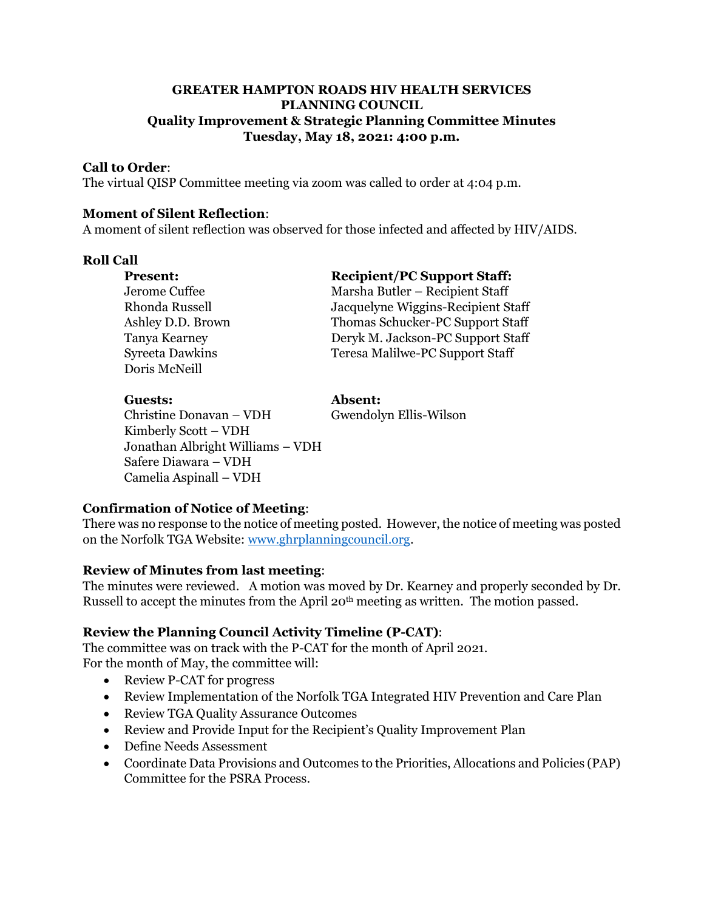## **GREATER HAMPTON ROADS HIV HEALTH SERVICES PLANNING COUNCIL Quality Improvement & Strategic Planning Committee Minutes Tuesday, May 18, 2021: 4:00 p.m.**

## **Call to Order**:

The virtual QISP Committee meeting via zoom was called to order at 4:04 p.m.

#### **Moment of Silent Reflection**:

A moment of silent reflection was observed for those infected and affected by HIV/AIDS.

## **Roll Call**

**Present: Recipient/PC Support Staff:** Jerome Cuffee Marsha Butler – Recipient Staff Rhonda Russell Jacquelyne Wiggins-Recipient Staff Ashley D.D. Brown Thomas Schucker-PC Support Staff Tanya Kearney Deryk M. Jackson-PC Support Staff Syreeta Dawkins Teresa Malilwe-PC Support Staff Doris McNeill

#### **Guests: Absent:**

Christine Donavan – VDH Gwendolyn Ellis-Wilson Kimberly Scott – VDH Jonathan Albright Williams – VDH Safere Diawara – VDH Camelia Aspinall – VDH

## **Confirmation of Notice of Meeting**:

There was no response to the notice of meeting posted. However, the notice of meeting was posted on the Norfolk TGA Website[: www.ghrplanningcouncil.org.](http://www.ghrplanningcouncil.org/)

## **Review of Minutes from last meeting**:

The minutes were reviewed. A motion was moved by Dr. Kearney and properly seconded by Dr. Russell to accept the minutes from the April 20<sup>th</sup> meeting as written. The motion passed.

## **Review the Planning Council Activity Timeline (P-CAT)**:

The committee was on track with the P-CAT for the month of April 2021. For the month of May, the committee will:

- Review P-CAT for progress
- Review Implementation of the Norfolk TGA Integrated HIV Prevention and Care Plan
- Review TGA Quality Assurance Outcomes
- Review and Provide Input for the Recipient's Quality Improvement Plan
- Define Needs Assessment
- Coordinate Data Provisions and Outcomes to the Priorities, Allocations and Policies (PAP) Committee for the PSRA Process.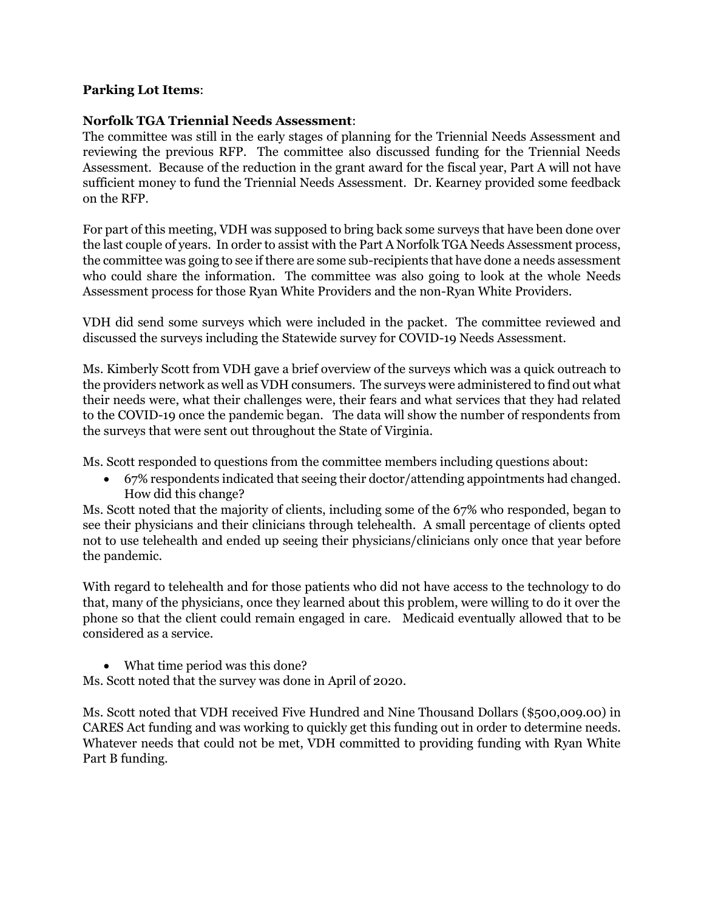## **Parking Lot Items**:

## **Norfolk TGA Triennial Needs Assessment**:

The committee was still in the early stages of planning for the Triennial Needs Assessment and reviewing the previous RFP. The committee also discussed funding for the Triennial Needs Assessment. Because of the reduction in the grant award for the fiscal year, Part A will not have sufficient money to fund the Triennial Needs Assessment. Dr. Kearney provided some feedback on the RFP.

For part of this meeting, VDH was supposed to bring back some surveys that have been done over the last couple of years. In order to assist with the Part A Norfolk TGA Needs Assessment process, the committee was going to see if there are some sub-recipients that have done a needs assessment who could share the information. The committee was also going to look at the whole Needs Assessment process for those Ryan White Providers and the non-Ryan White Providers.

VDH did send some surveys which were included in the packet. The committee reviewed and discussed the surveys including the Statewide survey for COVID-19 Needs Assessment.

Ms. Kimberly Scott from VDH gave a brief overview of the surveys which was a quick outreach to the providers network as well as VDH consumers. The surveys were administered to find out what their needs were, what their challenges were, their fears and what services that they had related to the COVID-19 once the pandemic began. The data will show the number of respondents from the surveys that were sent out throughout the State of Virginia.

Ms. Scott responded to questions from the committee members including questions about:

• 67% respondents indicated that seeing their doctor/attending appointments had changed. How did this change?

Ms. Scott noted that the majority of clients, including some of the 67% who responded, began to see their physicians and their clinicians through telehealth. A small percentage of clients opted not to use telehealth and ended up seeing their physicians/clinicians only once that year before the pandemic.

With regard to telehealth and for those patients who did not have access to the technology to do that, many of the physicians, once they learned about this problem, were willing to do it over the phone so that the client could remain engaged in care. Medicaid eventually allowed that to be considered as a service.

• What time period was this done?

Ms. Scott noted that the survey was done in April of 2020.

Ms. Scott noted that VDH received Five Hundred and Nine Thousand Dollars (\$500,009.00) in CARES Act funding and was working to quickly get this funding out in order to determine needs. Whatever needs that could not be met, VDH committed to providing funding with Ryan White Part B funding.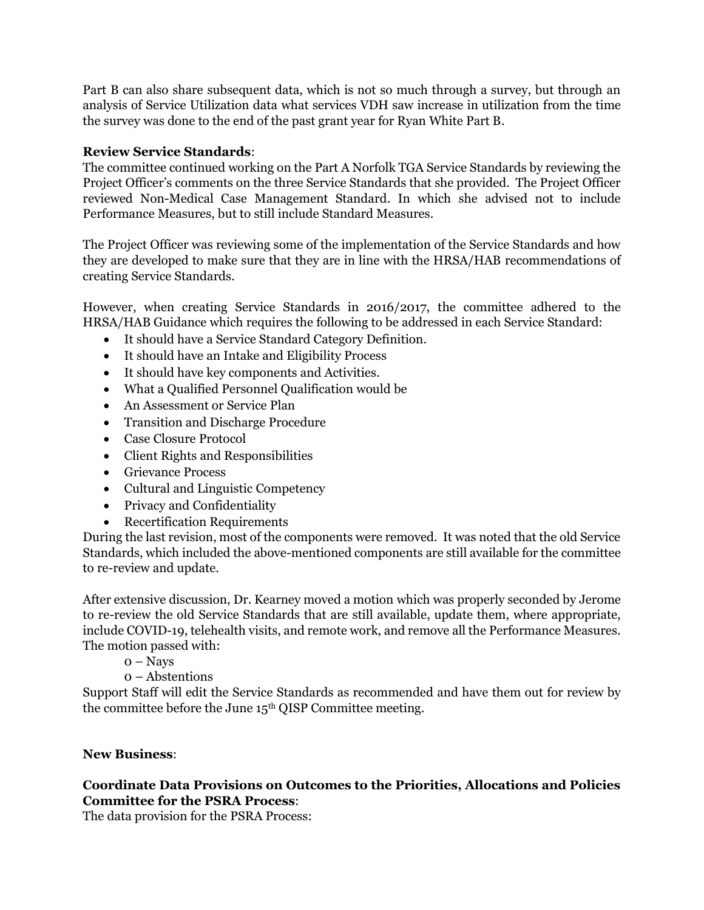Part B can also share subsequent data, which is not so much through a survey, but through an analysis of Service Utilization data what services VDH saw increase in utilization from the time the survey was done to the end of the past grant year for Ryan White Part B.

## **Review Service Standards**:

The committee continued working on the Part A Norfolk TGA Service Standards by reviewing the Project Officer's comments on the three Service Standards that she provided. The Project Officer reviewed Non-Medical Case Management Standard. In which she advised not to include Performance Measures, but to still include Standard Measures.

The Project Officer was reviewing some of the implementation of the Service Standards and how they are developed to make sure that they are in line with the HRSA/HAB recommendations of creating Service Standards.

However, when creating Service Standards in 2016/2017, the committee adhered to the HRSA/HAB Guidance which requires the following to be addressed in each Service Standard:

- It should have a Service Standard Category Definition.
- It should have an Intake and Eligibility Process
- It should have key components and Activities.
- What a Qualified Personnel Qualification would be
- An Assessment or Service Plan
- Transition and Discharge Procedure
- Case Closure Protocol
- Client Rights and Responsibilities
- Grievance Process
- Cultural and Linguistic Competency
- Privacy and Confidentiality
- Recertification Requirements

During the last revision, most of the components were removed. It was noted that the old Service Standards, which included the above-mentioned components are still available for the committee to re-review and update.

After extensive discussion, Dr. Kearney moved a motion which was properly seconded by Jerome to re-review the old Service Standards that are still available, update them, where appropriate, include COVID-19, telehealth visits, and remote work, and remove all the Performance Measures. The motion passed with:

- $o$  Navs
- 0 Abstentions

Support Staff will edit the Service Standards as recommended and have them out for review by the committee before the June 15th QISP Committee meeting.

## **New Business**:

## **Coordinate Data Provisions on Outcomes to the Priorities, Allocations and Policies Committee for the PSRA Process**:

The data provision for the PSRA Process: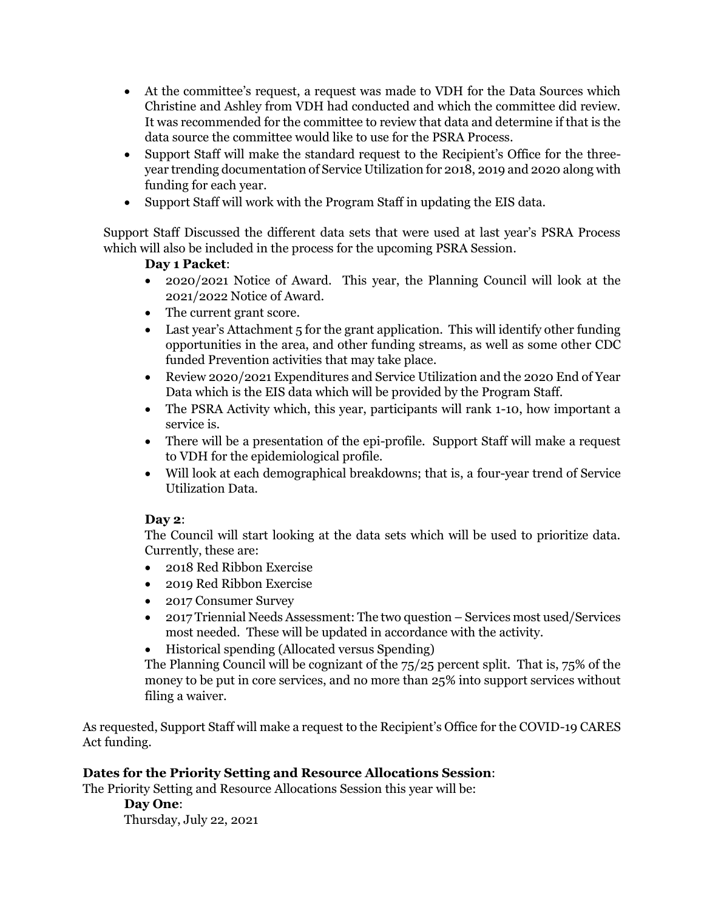- At the committee's request, a request was made to VDH for the Data Sources which Christine and Ashley from VDH had conducted and which the committee did review. It was recommended for the committee to review that data and determine if that is the data source the committee would like to use for the PSRA Process.
- Support Staff will make the standard request to the Recipient's Office for the threeyear trending documentation of Service Utilization for 2018, 2019 and 2020 along with funding for each year.
- Support Staff will work with the Program Staff in updating the EIS data.

Support Staff Discussed the different data sets that were used at last year's PSRA Process which will also be included in the process for the upcoming PSRA Session.

# **Day 1 Packet**:

- 2020/2021 Notice of Award. This year, the Planning Council will look at the 2021/2022 Notice of Award.
- The current grant score.
- Last year's Attachment 5 for the grant application. This will identify other funding opportunities in the area, and other funding streams, as well as some other CDC funded Prevention activities that may take place.
- Review 2020/2021 Expenditures and Service Utilization and the 2020 End of Year Data which is the EIS data which will be provided by the Program Staff.
- The PSRA Activity which, this year, participants will rank 1-10, how important a service is.
- There will be a presentation of the epi-profile. Support Staff will make a request to VDH for the epidemiological profile.
- Will look at each demographical breakdowns; that is, a four-year trend of Service Utilization Data.

## **Day 2**:

The Council will start looking at the data sets which will be used to prioritize data. Currently, these are:

- 2018 Red Ribbon Exercise
- 2019 Red Ribbon Exercise
- 2017 Consumer Survey
- 2017 Triennial Needs Assessment: The two question Services most used/Services most needed. These will be updated in accordance with the activity.
- Historical spending (Allocated versus Spending)

The Planning Council will be cognizant of the 75/25 percent split. That is, 75% of the money to be put in core services, and no more than 25% into support services without filing a waiver.

As requested, Support Staff will make a request to the Recipient's Office for the COVID-19 CARES Act funding.

# **Dates for the Priority Setting and Resource Allocations Session**:

The Priority Setting and Resource Allocations Session this year will be:

**Day One**: Thursday, July 22, 2021